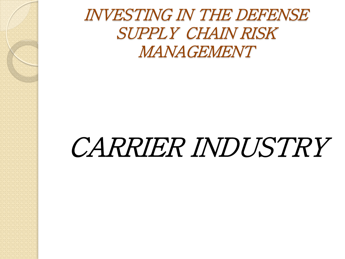INVESTING IN THE DEFENSE SUPPLY CHAIN RISK MANAGEMENT

# CARRIER INDUSTRY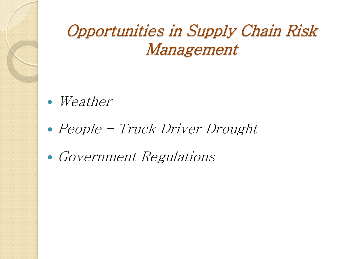### Opportunities in Supply Chain Risk Management

- Weather
- People Truck Driver Drought
- Government Regulations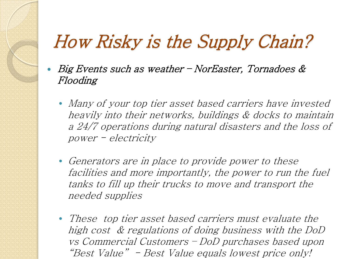## How Risky is the Supply Chain?

- Big Events such as weather NorEaster, Tornadoes & Flooding
	- Many of your top tier asset based carriers have invested heavily into their networks, buildings & docks to maintain a 24/7 operations during natural disasters and the loss of power - electricity
	- Generators are in place to provide power to these facilities and more importantly, the power to run the fuel tanks to fill up their trucks to move and transport the needed supplies
	- These top tier asset based carriers must evaluate the high cost & regulations of doing business with the DoD vs Commercial Customers – DoD purchases based upon "Best Value" - Best Value equals lowest price only!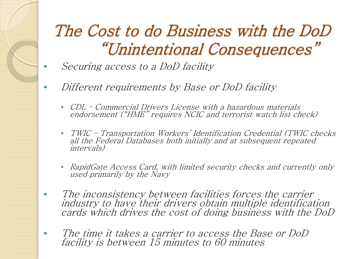## The Cost to do Business with the DoD "Unintentional Consequences"

- Securing access to a DoD facility
- Different requirements by Base or DoD facility
	- CDL Commercial Drivers License with a hazardous materials endorsement ("HME" requires NCIC and terrorist watch list check)
	- TWIC Transportation Workers' Identification Credential (TWIC checks all the Federal Databases both initially and at subsequent repeated intervals)
	- RapidGate Access Card, with limited security checks and currently only used primarily by the Navy
- The inconsistency between facilities forces the carrier industry to have their drivers obtain multiple identification cards which drives the cost of doing business with the DoD
	- The time it takes a carrier to access the Base or DoD facility is between 15 minutes to 60 minutes